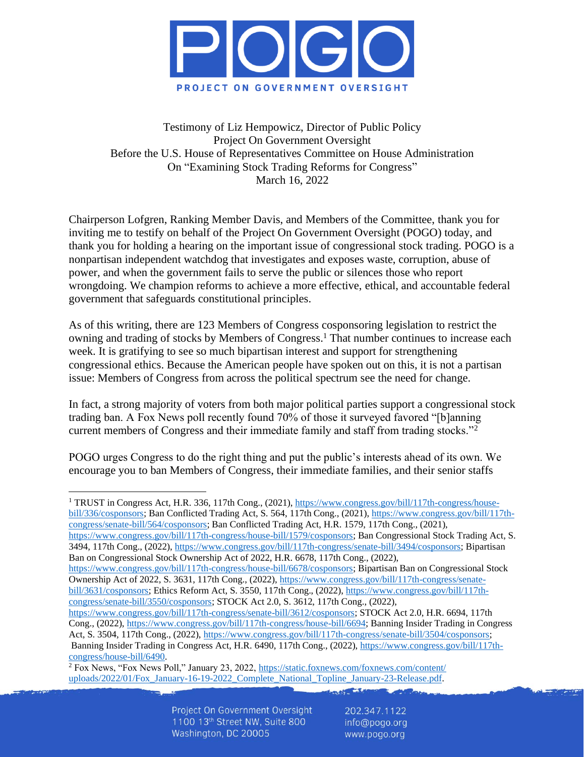

Testimony of Liz Hempowicz, Director of Public Policy Project On Government Oversight Before the U.S. House of Representatives Committee on House Administration On "Examining Stock Trading Reforms for Congress" March 16, 2022

Chairperson Lofgren, Ranking Member Davis, and Members of the Committee, thank you for inviting me to testify on behalf of the Project On Government Oversight (POGO) today, and thank you for holding a hearing on the important issue of congressional stock trading. POGO is a nonpartisan independent watchdog that investigates and exposes waste, corruption, abuse of power, and when the government fails to serve the public or silences those who report wrongdoing. We champion reforms to achieve a more effective, ethical, and accountable federal government that safeguards constitutional principles.

As of this writing, there are 123 Members of Congress cosponsoring legislation to restrict the owning and trading of stocks by Members of Congress.<sup>1</sup> That number continues to increase each week. It is gratifying to see so much bipartisan interest and support for strengthening congressional ethics. Because the American people have spoken out on this, it is not a partisan issue: Members of Congress from across the political spectrum see the need for change.

In fact, a strong majority of voters from both major political parties support a congressional stock trading ban. A Fox News poll recently found 70% of those it surveyed favored "[b]anning current members of Congress and their immediate family and staff from trading stocks."<sup>2</sup>

POGO urges Congress to do the right thing and put the public's interests ahead of its own. We encourage you to ban Members of Congress, their immediate families, and their senior staffs

<sup>1</sup> TRUST in Congress Act, H.R. 336, 117th Cong., (2021), [https://www.congress.gov/bill/117th-congress/house](https://www.congress.gov/bill/117th-congress/house-bill/336/cosponsors)[bill/336/cosponsors;](https://www.congress.gov/bill/117th-congress/house-bill/336/cosponsors) Ban Conflicted Trading Act, S. 564, 117th Cong., (2021), [https://www.congress.gov/bill/117th](https://www.congress.gov/bill/117th-congress/senate-bill/564/cosponsors)[congress/senate-bill/564/cosponsors;](https://www.congress.gov/bill/117th-congress/senate-bill/564/cosponsors) Ban Conflicted Trading Act, H.R. 1579, 117th Cong., (2021), [https://www.congress.gov/bill/117th-congress/house-bill/1579/cosponsors;](https://www.congress.gov/bill/117th-congress/house-bill/1579/cosponsors) Ban Congressional Stock Trading Act, S. 3494, 117th Cong., (2022), [https://www.congress.gov/bill/117th-congress/senate-bill/3494/cosponsors;](https://www.congress.gov/bill/117th-congress/senate-bill/3494/cosponsors) Bipartisan Ban on Congressional Stock Ownership Act of 2022, H.R. 6678, 117th Cong., (2022), [https://www.congress.gov/bill/117th-congress/house-bill/6678/cosponsors;](https://www.congress.gov/bill/117th-congress/house-bill/6678/cosponsors) Bipartisan Ban on Congressional Stock Ownership Act of 2022, S. 3631, 117th Cong., (2022), [https://www.congress.gov/bill/117th-congress/senate](https://www.congress.gov/bill/117th-congress/senate-bill/3631/cosponsors)[bill/3631/cosponsors;](https://www.congress.gov/bill/117th-congress/senate-bill/3631/cosponsors) Ethics Reform Act, S. 3550, 117th Cong., (2022), [https://www.congress.gov/bill/117th](https://www.congress.gov/bill/117th-congress/senate-bill/3550/cosponsors)[congress/senate-bill/3550/cosponsors;](https://www.congress.gov/bill/117th-congress/senate-bill/3550/cosponsors) STOCK Act 2.0, S. 3612, 117th Cong., (2022), [https://www.congress.gov/bill/117th-congress/senate-bill/3612/cosponsors;](https://www.congress.gov/bill/117th-congress/senate-bill/3612/cosponsors) STOCK Act 2.0, H.R. 6694, 117th Cong., (2022), [https://www.congress.gov/bill/117th-congress/house-bill/6694;](https://www.congress.gov/bill/117th-congress/house-bill/6694) Banning Insider Trading in Congress Act, S. 3504, 117th Cong., (2022), [https://www.congress.gov/bill/117th-congress/senate-bill/3504/cosponsors;](https://www.congress.gov/bill/117th-congress/senate-bill/3504/cosponsors)

Banning Insider Trading in Congress Act, H.R. 6490, 117th Cong., (2022), [https://www.congress.gov/bill/117th](https://www.congress.gov/bill/117th-congress/house-bill/6490)[congress/house-bill/6490.](https://www.congress.gov/bill/117th-congress/house-bill/6490)

<sup>2</sup> Fox News, "Fox News Poll," January 23, 2022[, https://static.foxnews.com/foxnews.com/content/](https://static.foxnews.com/foxnews.com/content/uploads/2022/01/Fox_January-16-19-2022_Complete_National_Topline_January-23-Release.pdf) [uploads/2022/01/Fox\\_January-16-19-2022\\_Complete\\_National\\_Topline\\_January-23-Release.pdf.](https://static.foxnews.com/foxnews.com/content/uploads/2022/01/Fox_January-16-19-2022_Complete_National_Topline_January-23-Release.pdf)

> Project On Government Oversight 1100 13th Street NW, Suite 800 Washington, DC 20005

202.347.1122 info@pogo.org www.pogo.org

**CANY CAR**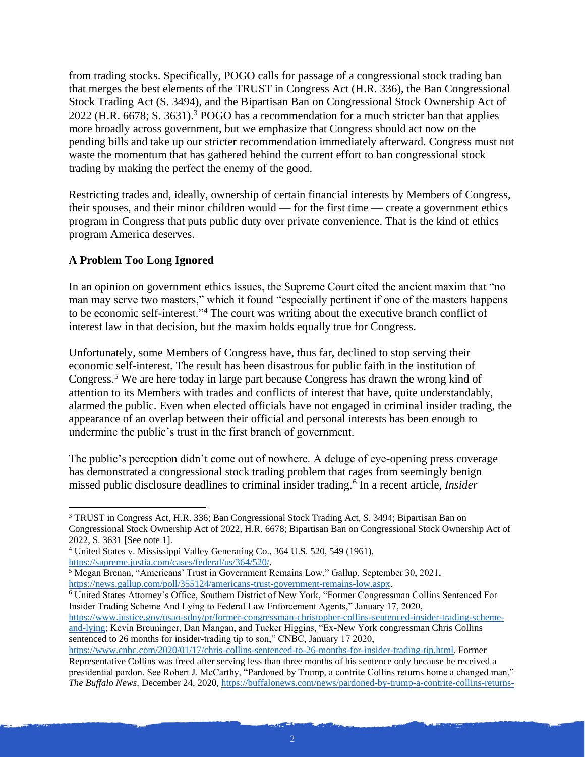from trading stocks. Specifically, POGO calls for passage of a congressional stock trading ban that merges the best elements of the TRUST in Congress Act (H.R. 336), the Ban Congressional Stock Trading Act (S. 3494), and the Bipartisan Ban on Congressional Stock Ownership Act of 2022 (H.R. 6678; S. 3631).<sup>3</sup> POGO has a recommendation for a much stricter ban that applies more broadly across government, but we emphasize that Congress should act now on the pending bills and take up our stricter recommendation immediately afterward. Congress must not waste the momentum that has gathered behind the current effort to ban congressional stock trading by making the perfect the enemy of the good.

Restricting trades and, ideally, ownership of certain financial interests by Members of Congress, their spouses, and their minor children would — for the first time — create a government ethics program in Congress that puts public duty over private convenience. That is the kind of ethics program America deserves.

## **A Problem Too Long Ignored**

In an opinion on government ethics issues, the Supreme Court cited the ancient maxim that "no man may serve two masters," which it found "especially pertinent if one of the masters happens to be economic self-interest."<sup>4</sup> The court was writing about the executive branch conflict of interest law in that decision, but the maxim holds equally true for Congress.

Unfortunately, some Members of Congress have, thus far, declined to stop serving their economic self-interest. The result has been disastrous for public faith in the institution of Congress.<sup>5</sup> We are here today in large part because Congress has drawn the wrong kind of attention to its Members with trades and conflicts of interest that have, quite understandably, alarmed the public. Even when elected officials have not engaged in criminal insider trading, the appearance of an overlap between their official and personal interests has been enough to undermine the public's trust in the first branch of government.

The public's perception didn't come out of nowhere. A deluge of eye-opening press coverage has demonstrated a congressional stock trading problem that rages from seemingly benign missed public disclosure deadlines to criminal insider trading.<sup>6</sup> In a recent article, *Insider* 

<sup>6</sup> United States Attorney's Office, Southern District of New York, "Former Congressman Collins Sentenced For Insider Trading Scheme And Lying to Federal Law Enforcement Agents," January 17, 2020, [https://www.justice.gov/usao-sdny/pr/former-congressman-christopher-collins-sentenced-insider-trading-scheme-](https://www.justice.gov/usao-sdny/pr/former-congressman-christopher-collins-sentenced-insider-trading-scheme-and-lying)

[and-lying;](https://www.justice.gov/usao-sdny/pr/former-congressman-christopher-collins-sentenced-insider-trading-scheme-and-lying) Kevin Breuninger, Dan Mangan, and Tucker Higgins, "Ex-New York congressman Chris Collins sentenced to 26 months for insider-trading tip to son," CNBC, January 17 2020,

[https://www.cnbc.com/2020/01/17/chris-collins-sentenced-to-26-months-for-insider-trading-tip.html.](https://www.cnbc.com/2020/01/17/chris-collins-sentenced-to-26-months-for-insider-trading-tip.html) Former Representative Collins was freed after serving less than three months of his sentence only because he received a presidential pardon. See Robert J. McCarthy, "Pardoned by Trump, a contrite Collins returns home a changed man," *The Buffalo News*, December 24, 2020[, https://buffalonews.com/news/pardoned-by-trump-a-contrite-collins-returns-](https://buffalonews.com/news/pardoned-by-trump-a-contrite-collins-returns-home-a-changed-man/article_4a914ae4-4608-11eb-9974-0715d91f7b6b.html)

<sup>3</sup> TRUST in Congress Act, H.R. 336; Ban Congressional Stock Trading Act, S. 3494; Bipartisan Ban on Congressional Stock Ownership Act of 2022, H.R. 6678; Bipartisan Ban on Congressional Stock Ownership Act of 2022, S. 3631 [See note 1].

<sup>4</sup> United States v. Mississippi Valley Generating Co., 364 U.S. 520, 549 (1961), [https://supreme.justia.com/cases/federal/us/364/520/.](https://supreme.justia.com/cases/federal/us/364/520/)

<sup>5</sup> Megan Brenan, "Americans' Trust in Government Remains Low," Gallup, September 30, 2021, [https://news.gallup.com/poll/355124/americans-trust-government-remains-low.aspx.](https://news.gallup.com/poll/355124/americans-trust-government-remains-low.aspx)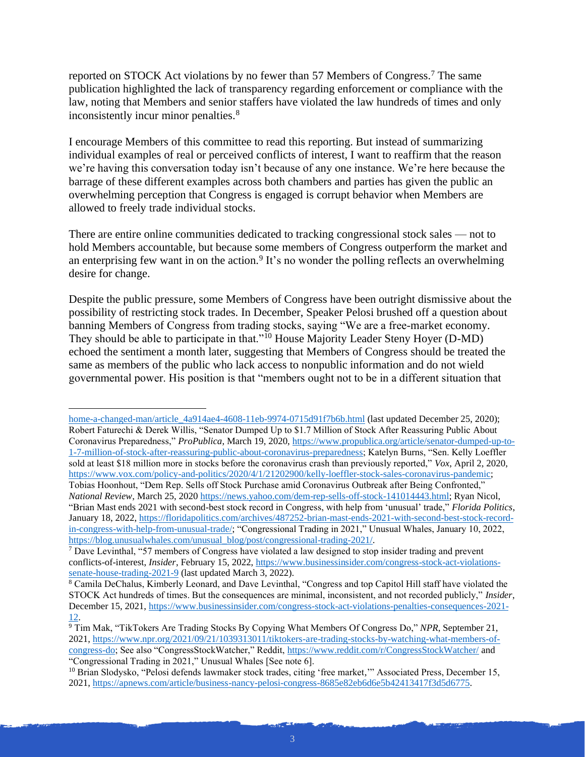reported on STOCK Act violations by no fewer than 57 Members of Congress.<sup>7</sup> The same publication highlighted the lack of transparency regarding enforcement or compliance with the law, noting that Members and senior staffers have violated the law hundreds of times and only inconsistently incur minor penalties.<sup>8</sup>

I encourage Members of this committee to read this reporting. But instead of summarizing individual examples of real or perceived conflicts of interest, I want to reaffirm that the reason we're having this conversation today isn't because of any one instance. We're here because the barrage of these different examples across both chambers and parties has given the public an overwhelming perception that Congress is engaged is corrupt behavior when Members are allowed to freely trade individual stocks.

There are entire online communities dedicated to tracking congressional stock sales — not to hold Members accountable, but because some members of Congress outperform the market and an enterprising few want in on the action.<sup>9</sup> It's no wonder the polling reflects an overwhelming desire for change.

Despite the public pressure, some Members of Congress have been outright dismissive about the possibility of restricting stock trades. In December, Speaker Pelosi brushed off a question about banning Members of Congress from trading stocks, saying "We are a free-market economy. They should be able to participate in that."<sup>10</sup> House Majority Leader Steny Hoyer (D-MD) echoed the sentiment a month later, suggesting that Members of Congress should be treated the same as members of the public who lack access to nonpublic information and do not wield governmental power. His position is that "members ought not to be in a different situation that

[home-a-changed-man/article\\_4a914ae4-4608-11eb-9974-0715d91f7b6b.html](https://buffalonews.com/news/pardoned-by-trump-a-contrite-collins-returns-home-a-changed-man/article_4a914ae4-4608-11eb-9974-0715d91f7b6b.html) (last updated December 25, 2020); Robert Faturechi & Derek Willis, "Senator Dumped Up to \$1.7 Million of Stock After Reassuring Public About Coronavirus Preparedness," *ProPublica*, March 19, 2020, [https://www.propublica.org/article/senator-dumped-up-to-](https://www.propublica.org/article/senator-dumped-up-to-1-7-million-of-stock-after-reassuring-public-about-coronavirus-preparedness)[1-7-million-of-stock-after-reassuring-public-about-coronavirus-preparedness;](https://www.propublica.org/article/senator-dumped-up-to-1-7-million-of-stock-after-reassuring-public-about-coronavirus-preparedness) Katelyn Burns, "Sen. Kelly Loeffler sold at least \$18 million more in stocks before the coronavirus crash than previously reported," *Vox*, April 2, 2020, [https://www.vox.com/policy-and-politics/2020/4/1/21202900/kelly-loeffler-stock-sales-coronavirus-pandemic;](https://www.vox.com/policy-and-politics/2020/4/1/21202900/kelly-loeffler-stock-sales-coronavirus-pandemic) Tobias Hoonhout, "Dem Rep. Sells off Stock Purchase amid Coronavirus Outbreak after Being Confronted," *National Review*, March 25, 202[0 https://news.yahoo.com/dem-rep-sells-off-stock-141014443.html;](https://news.yahoo.com/dem-rep-sells-off-stock-141014443.html) Ryan Nicol, "Brian Mast ends 2021 with second-best stock record in Congress, with help from 'unusual' trade," *Florida Politics*, January 18, 2022[, https://floridapolitics.com/archives/487252-brian-mast-ends-2021-with-second-best-stock-record](https://floridapolitics.com/archives/487252-brian-mast-ends-2021-with-second-best-stock-record-in-congress-with-help-from-unusual-trade/)[in-congress-with-help-from-unusual-trade/;](https://floridapolitics.com/archives/487252-brian-mast-ends-2021-with-second-best-stock-record-in-congress-with-help-from-unusual-trade/) "Congressional Trading in 2021," Unusual Whales, January 10, 2022, [https://blog.unusualwhales.com/unusual\\_blog/post/congressional-trading-2021/.](https://blog.unusualwhales.com/unusual_blog/post/congressional-trading-2021/)

 $7$  Dave Levinthal, "57 members of Congress have violated a law designed to stop insider trading and prevent conflicts-of-interest, *Insider*, February 15, 2022, [https://www.businessinsider.com/congress-stock-act-violations](https://www.businessinsider.com/congress-stock-act-violations-senate-house-trading-2021-9)[senate-house-trading-2021-9](https://www.businessinsider.com/congress-stock-act-violations-senate-house-trading-2021-9) (last updated March 3, 2022).

<sup>8</sup> Camila DeChalus, Kimberly Leonard, and Dave Levinthal, "Congress and top Capitol Hill staff have violated the STOCK Act hundreds of times. But the consequences are minimal, inconsistent, and not recorded publicly," *Insider*, December 15, 2021[, https://www.businessinsider.com/congress-stock-act-violations-penalties-consequences-2021-](https://www.businessinsider.com/congress-stock-act-violations-penalties-consequences-2021-12) [12.](https://www.businessinsider.com/congress-stock-act-violations-penalties-consequences-2021-12)

<sup>&</sup>lt;sup>9</sup> Tim Mak, "TikTokers Are Trading Stocks By Copying What Members Of Congress Do," NPR, September 21, 2021, [https://www.npr.org/2021/09/21/1039313011/tiktokers-are-trading-stocks-by-watching-what-members-of](https://www.npr.org/2021/09/21/1039313011/tiktokers-are-trading-stocks-by-watching-what-members-of-congress-do)[congress-do;](https://www.npr.org/2021/09/21/1039313011/tiktokers-are-trading-stocks-by-watching-what-members-of-congress-do) See also "CongressStockWatcher," Reddit[, https://www.reddit.com/r/CongressStockWatcher/](https://www.reddit.com/r/CongressStockWatcher/) and "Congressional Trading in 2021," Unusual Whales [See note 6].

<sup>&</sup>lt;sup>10</sup> Brian Slodysko, "Pelosi defends lawmaker stock trades, citing 'free market," Associated Press, December 15, 2021, [https://apnews.com/article/business-nancy-pelosi-congress-8685e82eb6d6e5b42413417f3d5d6775.](https://apnews.com/article/business-nancy-pelosi-congress-8685e82eb6d6e5b42413417f3d5d6775)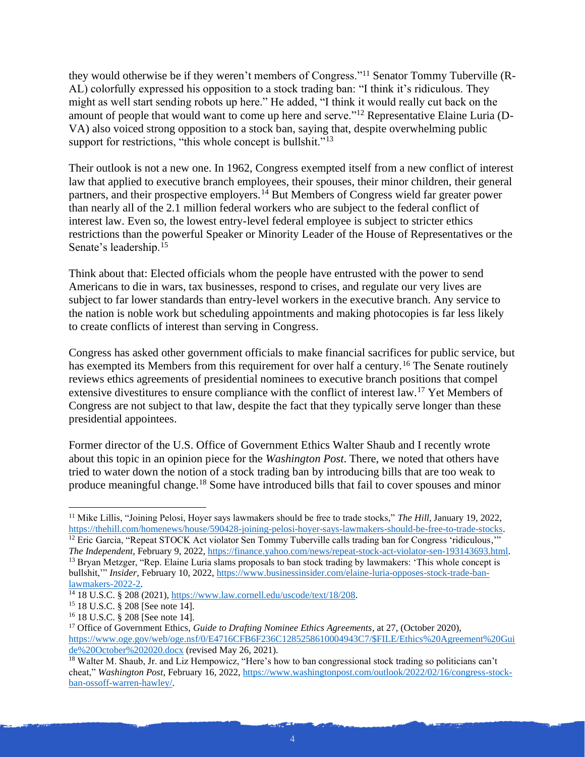they would otherwise be if they weren't members of Congress."<sup>11</sup> Senator Tommy Tuberville (R-AL) colorfully expressed his opposition to a stock trading ban: "I think it's ridiculous. They might as well start sending robots up here." He added, "I think it would really cut back on the amount of people that would want to come up here and serve."<sup>12</sup> Representative Elaine Luria (D-VA) also voiced strong opposition to a stock ban, saying that, despite overwhelming public support for restrictions, "this whole concept is bullshit."<sup>13</sup>

Their outlook is not a new one. In 1962, Congress exempted itself from a new conflict of interest law that applied to executive branch employees, their spouses, their minor children, their general partners, and their prospective employers.<sup>14</sup> But Members of Congress wield far greater power than nearly all of the 2.1 million federal workers who are subject to the federal conflict of interest law. Even so, the lowest entry-level federal employee is subject to stricter ethics restrictions than the powerful Speaker or Minority Leader of the House of Representatives or the Senate's leadership.<sup>15</sup>

Think about that: Elected officials whom the people have entrusted with the power to send Americans to die in wars, tax businesses, respond to crises, and regulate our very lives are subject to far lower standards than entry-level workers in the executive branch. Any service to the nation is noble work but scheduling appointments and making photocopies is far less likely to create conflicts of interest than serving in Congress.

Congress has asked other government officials to make financial sacrifices for public service, but has exempted its Members from this requirement for over half a century.<sup>16</sup> The Senate routinely reviews ethics agreements of presidential nominees to executive branch positions that compel extensive divestitures to ensure compliance with the conflict of interest law.<sup>17</sup> Yet Members of Congress are not subject to that law, despite the fact that they typically serve longer than these presidential appointees.

Former director of the U.S. Office of Government Ethics Walter Shaub and I recently wrote about this topic in an opinion piece for the *Washington Post*. There, we noted that others have tried to water down the notion of a stock trading ban by introducing bills that are too weak to produce meaningful change.<sup>18</sup> Some have introduced bills that fail to cover spouses and minor

<sup>11</sup> Mike Lillis, "Joining Pelosi, Hoyer says lawmakers should be free to trade stocks," *The Hill*, January 19, 2022, [https://thehill.com/homenews/house/590428-joining-pelosi-hoyer-says-lawmakers-should-be-free-to-trade-stocks.](https://thehill.com/homenews/house/590428-joining-pelosi-hoyer-says-lawmakers-should-be-free-to-trade-stocks) <sup>12</sup> Eric Garcia, "Repeat STOCK Act violator Sen Tommy Tuberville calls trading ban for Congress 'ridiculous,"

*The Independent*, February 9, 2022[, https://finance.yahoo.com/news/repeat-stock-act-violator-sen-193143693.html.](https://finance.yahoo.com/news/repeat-stock-act-violator-sen-193143693.html) <sup>13</sup> Bryan Metzger, "Rep. Elaine Luria slams proposals to ban stock trading by lawmakers: 'This whole concept is bullshit,'" *Insider*, February 10, 2022[, https://www.businessinsider.com/elaine-luria-opposes-stock-trade-ban](https://www.businessinsider.com/elaine-luria-opposes-stock-trade-ban-lawmakers-2022-2)[lawmakers-2022-2.](https://www.businessinsider.com/elaine-luria-opposes-stock-trade-ban-lawmakers-2022-2)

<sup>14</sup> 18 U.S.C. § 208 (2021)[, https://www.law.cornell.edu/uscode/text/18/208.](https://www.law.cornell.edu/uscode/text/18/208)

<sup>15</sup> 18 U.S.C. § 208 [See note 14].

<sup>16</sup> 18 U.S.C. § 208 [See note 14].

<sup>&</sup>lt;sup>17</sup> Office of Government Ethics, *Guide to Drafting Nominee Ethics Agreements*, at 27, (October 2020), [https://www.oge.gov/web/oge.nsf/0/E4716CFB6F236C1285258610004943C7/\\$FILE/Ethics%20Agreement%20Gui](https://www.oge.gov/web/oge.nsf/0/E4716CFB6F236C1285258610004943C7/$FILE/Ethics%20Agreement%20Guide%20October%202020.docx) [de%20October%202020.docx](https://www.oge.gov/web/oge.nsf/0/E4716CFB6F236C1285258610004943C7/$FILE/Ethics%20Agreement%20Guide%20October%202020.docx) (revised May 26, 2021).

<sup>&</sup>lt;sup>18</sup> Walter M. Shaub, Jr. and Liz Hempowicz, "Here's how to ban congressional stock trading so politicians can't cheat," *Washington Post*, February 16, 2022, [https://www.washingtonpost.com/outlook/2022/02/16/congress-stock](https://www.washingtonpost.com/outlook/2022/02/16/congress-stock-ban-ossoff-warren-hawley/)[ban-ossoff-warren-hawley/.](https://www.washingtonpost.com/outlook/2022/02/16/congress-stock-ban-ossoff-warren-hawley/)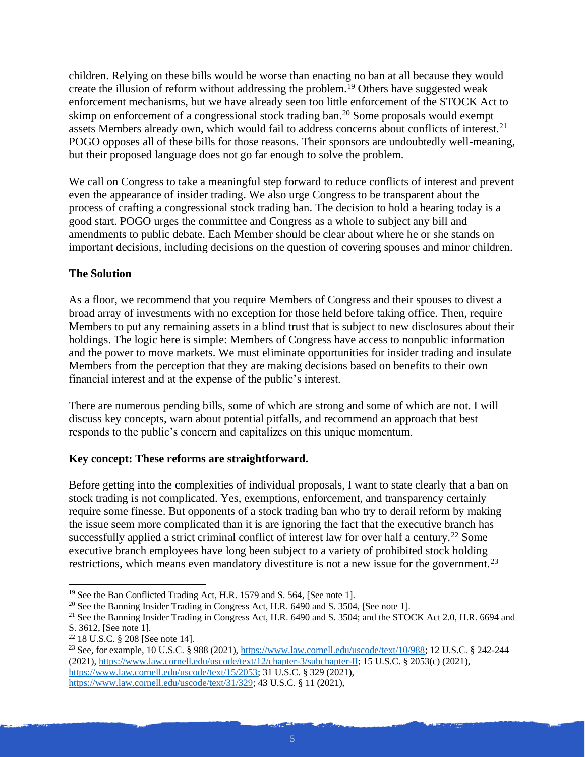children. Relying on these bills would be worse than enacting no ban at all because they would create the illusion of reform without addressing the problem.<sup>19</sup> Others have suggested weak enforcement mechanisms, but we have already seen too little enforcement of the STOCK Act to skimp on enforcement of a congressional stock trading ban.<sup>20</sup> Some proposals would exempt assets Members already own, which would fail to address concerns about conflicts of interest.<sup>21</sup> POGO opposes all of these bills for those reasons. Their sponsors are undoubtedly well-meaning, but their proposed language does not go far enough to solve the problem.

We call on Congress to take a meaningful step forward to reduce conflicts of interest and prevent even the appearance of insider trading. We also urge Congress to be transparent about the process of crafting a congressional stock trading ban. The decision to hold a hearing today is a good start. POGO urges the committee and Congress as a whole to subject any bill and amendments to public debate. Each Member should be clear about where he or she stands on important decisions, including decisions on the question of covering spouses and minor children.

## **The Solution**

As a floor, we recommend that you require Members of Congress and their spouses to divest a broad array of investments with no exception for those held before taking office. Then, require Members to put any remaining assets in a blind trust that is subject to new disclosures about their holdings. The logic here is simple: Members of Congress have access to nonpublic information and the power to move markets. We must eliminate opportunities for insider trading and insulate Members from the perception that they are making decisions based on benefits to their own financial interest and at the expense of the public's interest.

There are numerous pending bills, some of which are strong and some of which are not. I will discuss key concepts, warn about potential pitfalls, and recommend an approach that best responds to the public's concern and capitalizes on this unique momentum.

### **Key concept: These reforms are straightforward.**

Before getting into the complexities of individual proposals, I want to state clearly that a ban on stock trading is not complicated. Yes, exemptions, enforcement, and transparency certainly require some finesse. But opponents of a stock trading ban who try to derail reform by making the issue seem more complicated than it is are ignoring the fact that the executive branch has successfully applied a strict criminal conflict of interest law for over half a century.<sup>22</sup> Some executive branch employees have long been subject to a variety of prohibited stock holding restrictions, which means even mandatory divestiture is not a new issue for the government.<sup>23</sup>

<sup>23</sup> See, for example, 10 U.S.C. § 988 (2021), [https://www.law.cornell.edu/uscode/text/10/988;](https://www.law.cornell.edu/uscode/text/10/988) 12 U.S.C. § 242-244 (2021)[, https://www.law.cornell.edu/uscode/text/12/chapter-3/subchapter-II;](https://www.law.cornell.edu/uscode/text/12/chapter-3/subchapter-II) 15 U.S.C. § 2053(c) (2021), [https://www.law.cornell.edu/uscode/text/15/2053;](https://www.law.cornell.edu/uscode/text/15/2053) 31 U.S.C. § 329 (2021), [https://www.law.cornell.edu/uscode/text/31/329;](https://www.law.cornell.edu/uscode/text/31/329) 43 U.S.C. § 11 (2021),

<sup>&</sup>lt;sup>19</sup> See the Ban Conflicted Trading Act, H.R. 1579 and S. 564, [See note 1].

<sup>&</sup>lt;sup>20</sup> See the Banning Insider Trading in Congress Act, H.R. 6490 and S. 3504, [See note 1].

<sup>&</sup>lt;sup>21</sup> See the Banning Insider Trading in Congress Act, H.R. 6490 and S. 3504; and the STOCK Act 2.0, H.R. 6694 and S. 3612, [See note 1].

<sup>22</sup> 18 U.S.C. § 208 [See note 14].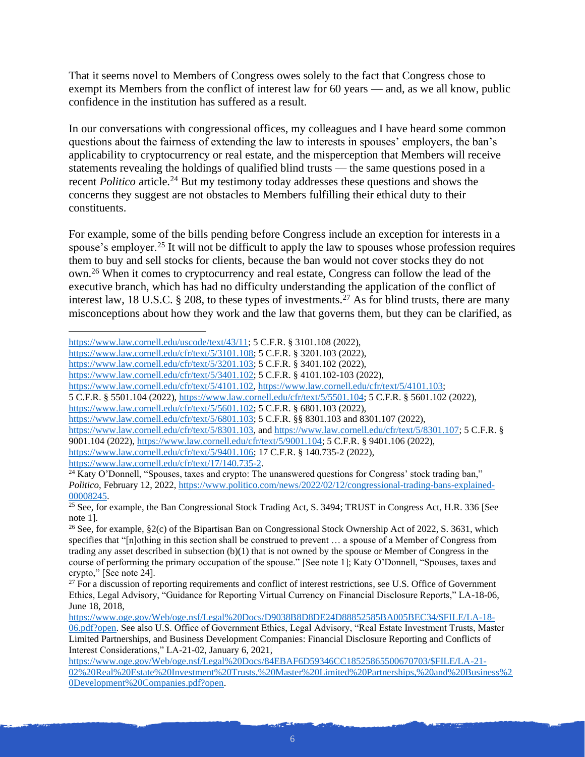That it seems novel to Members of Congress owes solely to the fact that Congress chose to exempt its Members from the conflict of interest law for 60 years — and, as we all know, public confidence in the institution has suffered as a result.

In our conversations with congressional offices, my colleagues and I have heard some common questions about the fairness of extending the law to interests in spouses' employers, the ban's applicability to cryptocurrency or real estate, and the misperception that Members will receive statements revealing the holdings of qualified blind trusts — the same questions posed in a recent *Politico* article.<sup>24</sup> But my testimony today addresses these questions and shows the concerns they suggest are not obstacles to Members fulfilling their ethical duty to their constituents.

For example, some of the bills pending before Congress include an exception for interests in a spouse's employer.<sup>25</sup> It will not be difficult to apply the law to spouses whose profession requires them to buy and sell stocks for clients, because the ban would not cover stocks they do not own.<sup>26</sup> When it comes to cryptocurrency and real estate, Congress can follow the lead of the executive branch, which has had no difficulty understanding the application of the conflict of interest law, 18 U.S.C. § 208, to these types of investments.<sup>27</sup> As for blind trusts, there are many misconceptions about how they work and the law that governs them, but they can be clarified, as

5 C.F.R. § 5501.104 (2022)[, https://www.law.cornell.edu/cfr/text/5/5501.104;](https://www.law.cornell.edu/cfr/text/5/5501.104) 5 C.F.R. § 5601.102 (2022),

[https://www.law.cornell.edu/cfr/text/5/8301.103,](https://www.law.cornell.edu/cfr/text/5/8301.103) and [https://www.law.cornell.edu/cfr/text/5/8301.107;](https://www.law.cornell.edu/cfr/text/5/8301.107) 5 C.F.R. § 9001.104 (2022)[, https://www.law.cornell.edu/cfr/text/5/9001.104;](https://www.law.cornell.edu/cfr/text/5/9001.104) 5 C.F.R. § 9401.106 (2022), [https://www.law.cornell.edu/cfr/text/5/9401.106;](https://www.law.cornell.edu/cfr/text/5/9401.106) 17 C.F.R. § 140.735-2 (2022), [https://www.law.cornell.edu/cfr/text/17/140.735-2.](https://www.law.cornell.edu/cfr/text/17/140.735-2)

[https://www.law.cornell.edu/uscode/text/43/11;](https://www.law.cornell.edu/uscode/text/43/11) 5 C.F.R. § 3101.108 (2022),

[https://www.law.cornell.edu/cfr/text/5/3101.108;](https://www.law.cornell.edu/cfr/text/5/3101.108) 5 C.F.R. § 3201.103 (2022),

[https://www.law.cornell.edu/cfr/text/5/3201.103;](https://www.law.cornell.edu/cfr/text/5/3201.103) 5 C.F.R. § 3401.102 (2022),

[https://www.law.cornell.edu/cfr/text/5/3401.102;](https://www.law.cornell.edu/cfr/text/5/3401.102) 5 C.F.R. § 4101.102-103 (2022),

[https://www.law.cornell.edu/cfr/text/5/4101.102,](https://www.law.cornell.edu/cfr/text/5/4101.102) [https://www.law.cornell.edu/cfr/text/5/4101.103;](https://www.law.cornell.edu/cfr/text/5/4101.103)

[https://www.law.cornell.edu/cfr/text/5/5601.102;](https://www.law.cornell.edu/cfr/text/5/5601.102) 5 C.F.R. § 6801.103 (2022),

[https://www.law.cornell.edu/cfr/text/5/6801.103;](https://www.law.cornell.edu/cfr/text/5/6801.103) 5 C.F.R. §§ 8301.103 and 8301.107 (2022),

 $^{24}$  Katy O'Donnell, "Spouses, taxes and crypto: The unanswered questions for Congress' stock trading ban," *Politico*, February 12, 2022, [https://www.politico.com/news/2022/02/12/congressional-trading-bans-explained-](https://www.politico.com/news/2022/02/12/congressional-trading-bans-explained-00008245)[00008245.](https://www.politico.com/news/2022/02/12/congressional-trading-bans-explained-00008245)

 $25$  See, for example, the Ban Congressional Stock Trading Act, S. 3494; TRUST in Congress Act, H.R. 336 [See note 1].

<sup>26</sup> See, for example, §2(c) of the Bipartisan Ban on Congressional Stock Ownership Act of 2022, S. 3631, which specifies that "[n]othing in this section shall be construed to prevent ... a spouse of a Member of Congress from trading any asset described in subsection (b)(1) that is not owned by the spouse or Member of Congress in the course of performing the primary occupation of the spouse." [See note 1]; Katy O'Donnell, "Spouses, taxes and crypto," [See note 24].

 $27$  For a discussion of reporting requirements and conflict of interest restrictions, see U.S. Office of Government Ethics, Legal Advisory, "Guidance for Reporting Virtual Currency on Financial Disclosure Reports," LA-18-06, June 18, 2018,

[https://www.oge.gov/Web/oge.nsf/Legal%20Docs/D9038B8D8DE24D88852585BA005BEC34/\\$FILE/LA-18-](https://www.oge.gov/Web/oge.nsf/Legal%20Docs/D9038B8D8DE24D88852585BA005BEC34/$FILE/LA-18-06.pdf?open) [06.pdf?open.](https://www.oge.gov/Web/oge.nsf/Legal%20Docs/D9038B8D8DE24D88852585BA005BEC34/$FILE/LA-18-06.pdf?open) See also U.S. Office of Government Ethics, Legal Advisory, "Real Estate Investment Trusts, Master Limited Partnerships, and Business Development Companies: Financial Disclosure Reporting and Conflicts of Interest Considerations," LA-21-02, January 6, 2021[,](https://www.oge.gov/Web/oge.nsf/Legal%20Docs/84EBAF6D59346CC18525865500670703/$FILE/LA-21-02%20Real%20Estate%20Investment%20Trusts,%20Master%20Limited%20Partnerships,%20and%20Business%20Development%20Companies.pdf?open)

[https://www.oge.gov/Web/oge.nsf/Legal%20Docs/84EBAF6D59346CC18525865500670703/\\$FILE/LA-21-](https://www.oge.gov/Web/oge.nsf/Legal%20Docs/84EBAF6D59346CC18525865500670703/$FILE/LA-21-02%20Real%20Estate%20Investment%20Trusts,%20Master%20Limited%20Partnerships,%20and%20Business%20Development%20Companies.pdf?open) [02%20Real%20Estate%20Investment%20Trusts,%20Master%20Limited%20Partnerships,%20and%20Business%2](https://www.oge.gov/Web/oge.nsf/Legal%20Docs/84EBAF6D59346CC18525865500670703/$FILE/LA-21-02%20Real%20Estate%20Investment%20Trusts,%20Master%20Limited%20Partnerships,%20and%20Business%20Development%20Companies.pdf?open) [0Development%20Companies.pdf?open.](https://www.oge.gov/Web/oge.nsf/Legal%20Docs/84EBAF6D59346CC18525865500670703/$FILE/LA-21-02%20Real%20Estate%20Investment%20Trusts,%20Master%20Limited%20Partnerships,%20and%20Business%20Development%20Companies.pdf?open)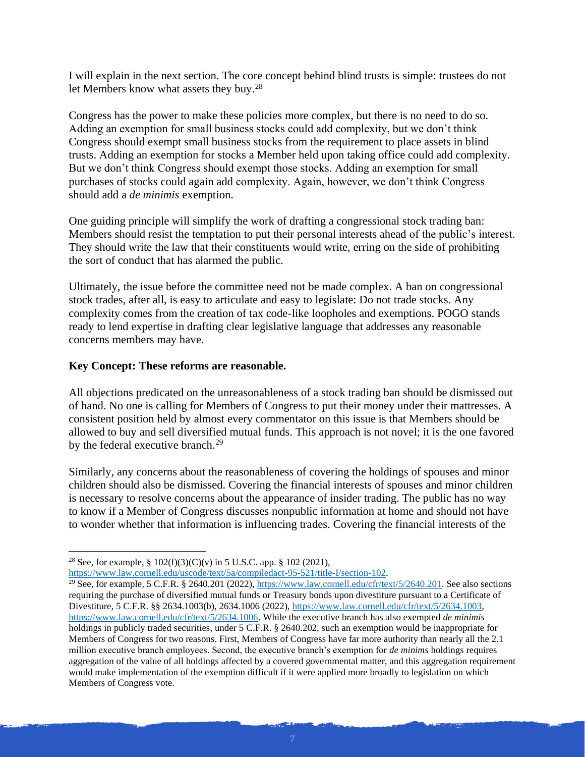I will explain in the next section. The core concept behind blind trusts is simple: trustees do not let Members know what assets they buy.<sup>28</sup>

Congress has the power to make these policies more complex, but there is no need to do so. Adding an exemption for small business stocks could add complexity, but we don't think Congress should exempt small business stocks from the requirement to place assets in blind trusts. Adding an exemption for stocks a Member held upon taking office could add complexity. But we don't think Congress should exempt those stocks. Adding an exemption for small purchases of stocks could again add complexity. Again, however, we don't think Congress should add a *de minimis* exemption.

One guiding principle will simplify the work of drafting a congressional stock trading ban: Members should resist the temptation to put their personal interests ahead of the public's interest. They should write the law that their constituents would write, erring on the side of prohibiting the sort of conduct that has alarmed the public.

Ultimately, the issue before the committee need not be made complex. A ban on congressional stock trades, after all, is easy to articulate and easy to legislate: Do not trade stocks. Any complexity comes from the creation of tax code-like loopholes and exemptions. POGO stands ready to lend expertise in drafting clear legislative language that addresses any reasonable concerns members may have.

### **Key Concept: These reforms are reasonable.**

All objections predicated on the unreasonableness of a stock trading ban should be dismissed out of hand. No one is calling for Members of Congress to put their money under their mattresses. A consistent position held by almost every commentator on this issue is that Members should be allowed to buy and sell diversified mutual funds. This approach is not novel; it is the one favored by the federal executive branch.<sup>29</sup>

Similarly, any concerns about the reasonableness of covering the holdings of spouses and minor children should also be dismissed. Covering the financial interests of spouses and minor children is necessary to resolve concerns about the appearance of insider trading. The public has no way to know if a Member of Congress discusses nonpublic information at home and should not have to wonder whether that information is influencing trades. Covering the financial interests of the

<sup>&</sup>lt;sup>28</sup> See, for example, §  $102(f)(3)(C)(v)$  in 5 U.S.C. app. § 102 (2021),

[https://www.law.cornell.edu/uscode/text/5a/compiledact-95-521/title-I/section-102.](https://www.law.cornell.edu/uscode/text/5a/compiledact-95-521/title-I/section-102)

<sup>&</sup>lt;sup>29</sup> See, for example, 5 C.F.R. § 2640.201 (2022), [https://www.law.cornell.edu/cfr/text/5/2640.201.](https://www.law.cornell.edu/cfr/text/5/2640.201) See also sections requiring the purchase of diversified mutual funds or Treasury bonds upon divestiture pursuant to a Certificate of Divestiture, 5 C.F.R. §§ 2634.1003(b), 2634.1006 (2022), [https://www.law.cornell.edu/cfr/text/5/2634.1003,](https://www.law.cornell.edu/cfr/text/5/2634.1003)  [https://www.law.cornell.edu/cfr/text/5/2634.1006.](https://www.law.cornell.edu/cfr/text/5/2634.1006) While the executive branch has also exempted *de minimis* holdings in publicly traded securities, under 5 C.F.R. § 2640.202, such an exemption would be inappropriate for Members of Congress for two reasons. First, Members of Congress have far more authority than nearly all the 2.1 million executive branch employees. Second, the executive branch's exemption for *de minims* holdings requires aggregation of the value of all holdings affected by a covered governmental matter, and this aggregation requirement would make implementation of the exemption difficult if it were applied more broadly to legislation on which Members of Congress vote.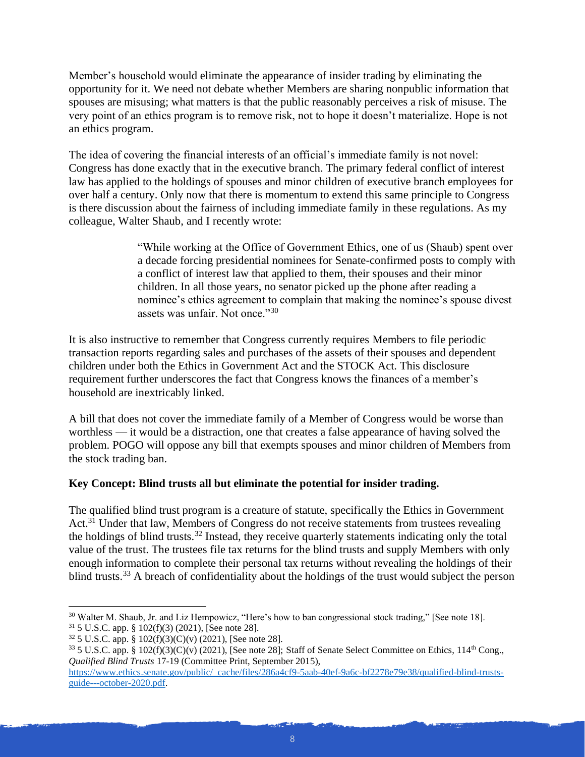Member's household would eliminate the appearance of insider trading by eliminating the opportunity for it. We need not debate whether Members are sharing nonpublic information that spouses are misusing; what matters is that the public reasonably perceives a risk of misuse. The very point of an ethics program is to remove risk, not to hope it doesn't materialize. Hope is not an ethics program.

The idea of covering the financial interests of an official's immediate family is not novel: Congress has done exactly that in the executive branch. The primary federal conflict of interest law has applied to the holdings of spouses and minor children of executive branch employees for over half a century. Only now that there is momentum to extend this same principle to Congress is there discussion about the fairness of including immediate family in these regulations. As my colleague, Walter Shaub, and I recently wrote:

> "While working at the Office of Government Ethics, one of us (Shaub) spent over a decade forcing presidential nominees for Senate-confirmed posts to comply with a conflict of interest law that applied to them, their spouses and their minor children. In all those years, no senator picked up the phone after reading a nominee's ethics agreement to complain that making the nominee's spouse divest assets was unfair. Not once."<sup>30</sup>

It is also instructive to remember that Congress currently requires Members to file periodic transaction reports regarding sales and purchases of the assets of their spouses and dependent children under both the Ethics in Government Act and the STOCK Act. This disclosure requirement further underscores the fact that Congress knows the finances of a member's household are inextricably linked.

A bill that does not cover the immediate family of a Member of Congress would be worse than worthless — it would be a distraction, one that creates a false appearance of having solved the problem. POGO will oppose any bill that exempts spouses and minor children of Members from the stock trading ban.

# **Key Concept: Blind trusts all but eliminate the potential for insider trading.**

The qualified blind trust program is a creature of statute, specifically the Ethics in Government Act.<sup>31</sup> Under that law, Members of Congress do not receive statements from trustees revealing the holdings of blind trusts.<sup>32</sup> Instead, they receive quarterly statements indicating only the total value of the trust. The trustees file tax returns for the blind trusts and supply Members with only enough information to complete their personal tax returns without revealing the holdings of their blind trusts.<sup>33</sup> A breach of confidentiality about the holdings of the trust would subject the person

<sup>30</sup> Walter M. Shaub, Jr. and Liz Hempowicz, "Here's how to ban congressional stock trading," [See note 18]. <sup>31</sup> 5 U.S.C. app. § 102(f)(3) (2021), [See note 28].

<sup>32</sup> 5 U.S.C. app. § 102(f)(3)(C)(v) (2021), [See note 28].

 $33$  5 U.S.C. app. § 102(f)(3)(C)(v) (2021), [See note 28]; Staff of Senate Select Committee on Ethics, 114<sup>th</sup> Cong., *Qualified Blind Trusts* 17-19 (Committee Print, September 2015),

[https://www.ethics.senate.gov/public/\\_cache/files/286a4cf9-5aab-40ef-9a6c-bf2278e79e38/qualified-blind-trusts](https://www.ethics.senate.gov/public/_cache/files/286a4cf9-5aab-40ef-9a6c-bf2278e79e38/qualified-blind-trusts-guide---october-2020.pdf)[guide---october-2020.pdf.](https://www.ethics.senate.gov/public/_cache/files/286a4cf9-5aab-40ef-9a6c-bf2278e79e38/qualified-blind-trusts-guide---october-2020.pdf)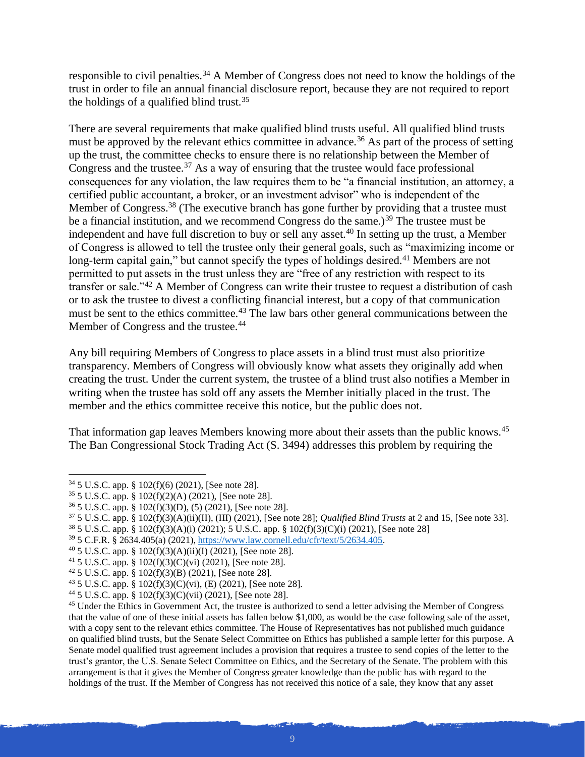responsible to civil penalties.<sup>34</sup> A Member of Congress does not need to know the holdings of the trust in order to file an annual financial disclosure report, because they are not required to report the holdings of a qualified blind trust.<sup>35</sup>

There are several requirements that make qualified blind trusts useful. All qualified blind trusts must be approved by the relevant ethics committee in advance.<sup>36</sup> As part of the process of setting up the trust, the committee checks to ensure there is no relationship between the Member of Congress and the trustee.<sup>37</sup> As a way of ensuring that the trustee would face professional consequences for any violation, the law requires them to be "a financial institution, an attorney, a certified public accountant, a broker, or an investment advisor" who is independent of the Member of Congress.<sup>38</sup> (The executive branch has gone further by providing that a trustee must be a financial institution, and we recommend Congress do the same.)<sup>39</sup> The trustee must be independent and have full discretion to buy or sell any asset.<sup>40</sup> In setting up the trust, a Member of Congress is allowed to tell the trustee only their general goals, such as "maximizing income or long-term capital gain," but cannot specify the types of holdings desired.<sup>41</sup> Members are not permitted to put assets in the trust unless they are "free of any restriction with respect to its transfer or sale."<sup>42</sup> A Member of Congress can write their trustee to request a distribution of cash or to ask the trustee to divest a conflicting financial interest, but a copy of that communication must be sent to the ethics committee.<sup>43</sup> The law bars other general communications between the Member of Congress and the trustee.<sup>44</sup>

Any bill requiring Members of Congress to place assets in a blind trust must also prioritize transparency. Members of Congress will obviously know what assets they originally add when creating the trust. Under the current system, the trustee of a blind trust also notifies a Member in writing when the trustee has sold off any assets the Member initially placed in the trust. The member and the ethics committee receive this notice, but the public does not.

That information gap leaves Members knowing more about their assets than the public knows.<sup>45</sup> The Ban Congressional Stock Trading Act (S. 3494) addresses this problem by requiring the

<sup>38</sup> 5 U.S.C. app. § 102(f)(3)(A)(i) (2021); 5 U.S.C. app. § 102(f)(3)(C)(i) (2021), [See note 28]

<sup>39</sup> 5 C.F.R. § 2634.405(a) (2021), [https://www.law.cornell.edu/cfr/text/5/2634.405.](https://www.law.cornell.edu/cfr/text/5/2634.405)

- $40\,5$  U.S.C. app. § 102(f)(3)(A)(ii)(I) (2021), [See note 28].
- <sup>41</sup> 5 U.S.C. app. § 102(f)(3)(C)(vi) (2021), [See note 28].

<sup>34</sup> 5 U.S.C. app. § 102(f)(6) (2021), [See note 28].

<sup>35</sup> 5 U.S.C. app. § 102(f)(2)(A) (2021), [See note 28].

<sup>36</sup> 5 U.S.C. app. § 102(f)(3)(D), (5) (2021), [See note 28].

<sup>37</sup> 5 U.S.C. app. § 102(f)(3)(A)(ii)(II), (III) (2021), [See note 28]; *Qualified Blind Trusts* at 2 and 15, [See note 33].

<sup>42</sup> 5 U.S.C. app. § 102(f)(3)(B) (2021), [See note 28].

<sup>&</sup>lt;sup>43</sup> 5 U.S.C. app. § 102(f)(3)(C)(vi), (E) (2021), [See note 28].

<sup>44</sup> 5 U.S.C. app. § 102(f)(3)(C)(vii) (2021), [See note 28].

<sup>45</sup> Under the Ethics in Government Act, the trustee is authorized to send a letter advising the Member of Congress that the value of one of these initial assets has fallen below \$1,000, as would be the case following sale of the asset, with a copy sent to the relevant ethics committee. The House of Representatives has not published much guidance on qualified blind trusts, but the Senate Select Committee on Ethics has published a sample letter for this purpose. A Senate model qualified trust agreement includes a provision that requires a trustee to send copies of the letter to the trust's grantor, the U.S. Senate Select Committee on Ethics, and the Secretary of the Senate. The problem with this arrangement is that it gives the Member of Congress greater knowledge than the public has with regard to the holdings of the trust. If the Member of Congress has not received this notice of a sale, they know that any asset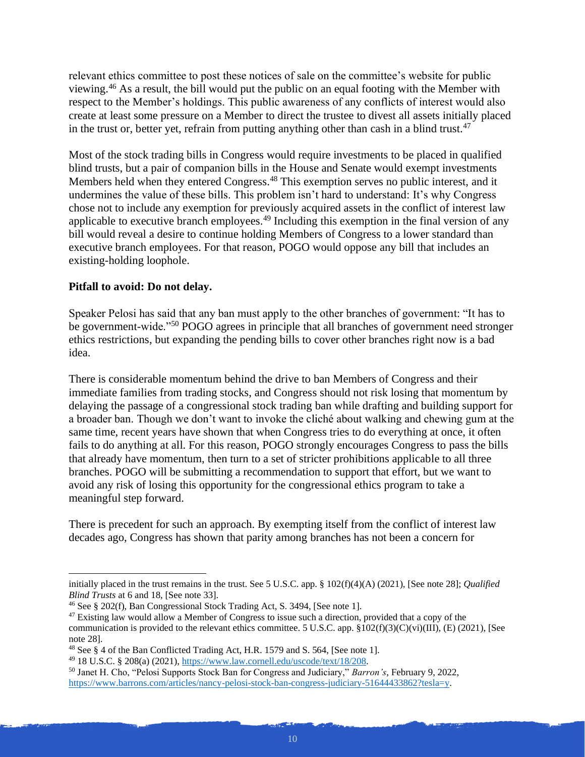relevant ethics committee to post these notices of sale on the committee's website for public viewing.<sup>46</sup> As a result, the bill would put the public on an equal footing with the Member with respect to the Member's holdings. This public awareness of any conflicts of interest would also create at least some pressure on a Member to direct the trustee to divest all assets initially placed in the trust or, better yet, refrain from putting anything other than cash in a blind trust.<sup>47</sup>

Most of the stock trading bills in Congress would require investments to be placed in qualified blind trusts, but a pair of companion bills in the House and Senate would exempt investments Members held when they entered Congress.<sup>48</sup> This exemption serves no public interest, and it undermines the value of these bills. This problem isn't hard to understand: It's why Congress chose not to include any exemption for previously acquired assets in the conflict of interest law applicable to executive branch employees.<sup>49</sup> Including this exemption in the final version of any bill would reveal a desire to continue holding Members of Congress to a lower standard than executive branch employees. For that reason, POGO would oppose any bill that includes an existing-holding loophole.

### **Pitfall to avoid: Do not delay.**

Speaker Pelosi has said that any ban must apply to the other branches of government: "It has to be government-wide."<sup>50</sup> POGO agrees in principle that all branches of government need stronger ethics restrictions, but expanding the pending bills to cover other branches right now is a bad idea.

There is considerable momentum behind the drive to ban Members of Congress and their immediate families from trading stocks, and Congress should not risk losing that momentum by delaying the passage of a congressional stock trading ban while drafting and building support for a broader ban. Though we don't want to invoke the cliché about walking and chewing gum at the same time, recent years have shown that when Congress tries to do everything at once, it often fails to do anything at all. For this reason, POGO strongly encourages Congress to pass the bills that already have momentum, then turn to a set of stricter prohibitions applicable to all three branches. POGO will be submitting a recommendation to support that effort, but we want to avoid any risk of losing this opportunity for the congressional ethics program to take a meaningful step forward.

There is precedent for such an approach. By exempting itself from the conflict of interest law decades ago, Congress has shown that parity among branches has not been a concern for

initially placed in the trust remains in the trust. See 5 U.S.C. app. § 102(f)(4)(A) (2021), [See note 28]; *Qualified Blind Trusts* at 6 and 18, [See note 33].

<sup>46</sup> See § 202(f), Ban Congressional Stock Trading Act, S. 3494, [See note 1].

<sup>&</sup>lt;sup>47</sup> Existing law would allow a Member of Congress to issue such a direction, provided that a copy of the communication is provided to the relevant ethics committee. 5 U.S.C. app.  $\S102(f)(3)(C)(vi)(III)$ , (E) (2021), [See note 28].

<sup>48</sup> See § 4 of the Ban Conflicted Trading Act, H.R. 1579 and S. 564, [See note 1].

<sup>49</sup> 18 U.S.C. § 208(a) (2021), [https://www.law.cornell.edu/uscode/text/18/208.](https://www.law.cornell.edu/uscode/text/18/208)

<sup>50</sup> Janet H. Cho, "Pelosi Supports Stock Ban for Congress and Judiciary," *Barron's*, February 9, 2022, [https://www.barrons.com/articles/nancy-pelosi-stock-ban-congress-judiciary-51644433862?tesla=y.](https://www.barrons.com/articles/nancy-pelosi-stock-ban-congress-judiciary-51644433862?tesla=y)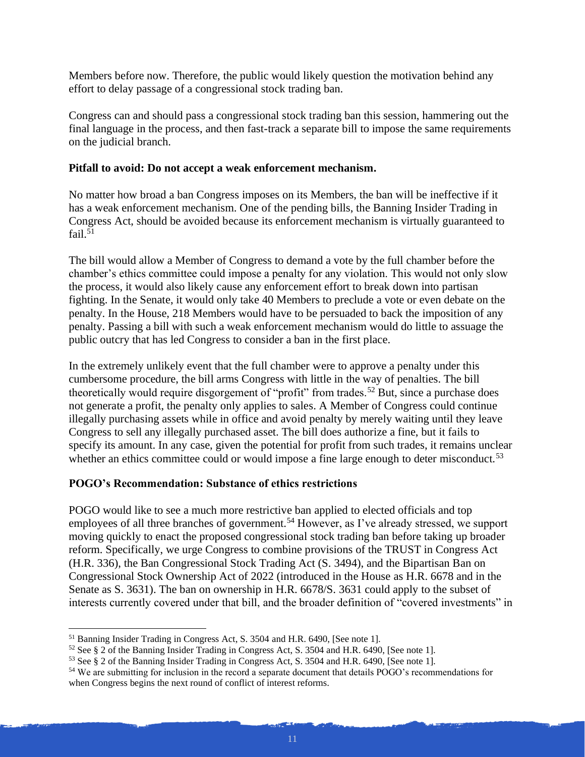Members before now. Therefore, the public would likely question the motivation behind any effort to delay passage of a congressional stock trading ban.

Congress can and should pass a congressional stock trading ban this session, hammering out the final language in the process, and then fast-track a separate bill to impose the same requirements on the judicial branch.

#### **Pitfall to avoid: Do not accept a weak enforcement mechanism.**

No matter how broad a ban Congress imposes on its Members, the ban will be ineffective if it has a weak enforcement mechanism. One of the pending bills, the Banning Insider Trading in Congress Act, should be avoided because its enforcement mechanism is virtually guaranteed to fail. $51$ 

The bill would allow a Member of Congress to demand a vote by the full chamber before the chamber's ethics committee could impose a penalty for any violation. This would not only slow the process, it would also likely cause any enforcement effort to break down into partisan fighting. In the Senate, it would only take 40 Members to preclude a vote or even debate on the penalty. In the House, 218 Members would have to be persuaded to back the imposition of any penalty. Passing a bill with such a weak enforcement mechanism would do little to assuage the public outcry that has led Congress to consider a ban in the first place.

In the extremely unlikely event that the full chamber were to approve a penalty under this cumbersome procedure, the bill arms Congress with little in the way of penalties. The bill theoretically would require disgorgement of "profit" from trades.<sup>52</sup> But, since a purchase does not generate a profit, the penalty only applies to sales. A Member of Congress could continue illegally purchasing assets while in office and avoid penalty by merely waiting until they leave Congress to sell any illegally purchased asset. The bill does authorize a fine, but it fails to specify its amount. In any case, given the potential for profit from such trades, it remains unclear whether an ethics committee could or would impose a fine large enough to deter misconduct.<sup>53</sup>

### **POGO's Recommendation: Substance of ethics restrictions**

POGO would like to see a much more restrictive ban applied to elected officials and top employees of all three branches of government.<sup>54</sup> However, as I've already stressed, we support moving quickly to enact the proposed congressional stock trading ban before taking up broader reform. Specifically, we urge Congress to combine provisions of the TRUST in Congress Act (H.R. 336), the Ban Congressional Stock Trading Act (S. 3494), and the Bipartisan Ban on Congressional Stock Ownership Act of 2022 (introduced in the House as H.R. 6678 and in the Senate as S. 3631). The ban on ownership in H.R. 6678/S. 3631 could apply to the subset of interests currently covered under that bill, and the broader definition of "covered investments" in

<sup>51</sup> Banning Insider Trading in Congress Act, S. 3504 and H.R. 6490, [See note 1].

<sup>52</sup> See § 2 of the Banning Insider Trading in Congress Act, S. 3504 and H.R. 6490, [See note 1].

<sup>53</sup> See § 2 of the Banning Insider Trading in Congress Act, S. 3504 and H.R. 6490, [See note 1].

<sup>54</sup> We are submitting for inclusion in the record a separate document that details POGO's recommendations for when Congress begins the next round of conflict of interest reforms.